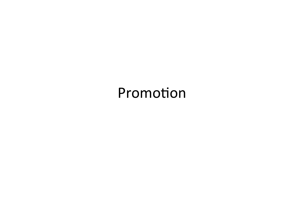### Promotion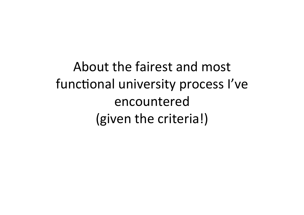About the fairest and most functional university process I've encountered (given the criteria!)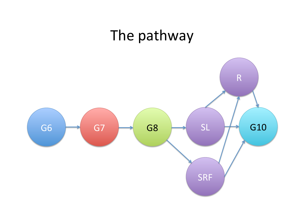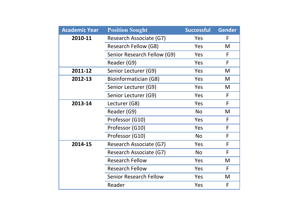| <b>Academic Year</b> | <b>Position Sought</b>        | <b>Successful</b> | <b>Gender</b> |
|----------------------|-------------------------------|-------------------|---------------|
| 2010-11              | Research Associate (G7)       | Yes               | F             |
|                      | Research Fellow (G8)          | Yes               | M             |
|                      | Senior Research Fellow (G9)   | Yes               | F             |
|                      | Reader (G9)                   | Yes               | F             |
| 2011-12              | Senior Lecturer (G9)          | Yes               | M             |
| 2012-13              | Bioinformatician (G8)         | Yes               | M             |
|                      | Senior Lecturer (G9)          | Yes               | M             |
|                      | Senior Lecturer (G9)          | Yes               | F             |
| 2013-14              | Lecturer (G8)                 | Yes               | F             |
|                      | Reader (G9)                   | <b>No</b>         | M             |
|                      | Professor (G10)               | Yes               | F             |
|                      | Professor (G10)               | Yes               | F             |
|                      | Professor (G10)               | <b>No</b>         | F             |
| 2014-15              | Research Associate (G7)       | Yes               | F             |
|                      | Research Associate (G7)       | <b>No</b>         | F             |
|                      | <b>Research Fellow</b>        | Yes               | M             |
|                      | <b>Research Fellow</b>        | Yes               | F             |
|                      | <b>Senior Research Fellow</b> | Yes               | M             |
|                      | Reader                        | Yes               | F             |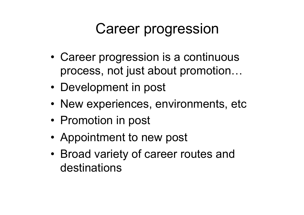# Career progression

- Progression • Career progression is a continuous process, not just about promotion…
- Development in post
- New experiences, environments, etc
- Promotion in post
- Appointment to new post
- Broad variety of career routes and destinations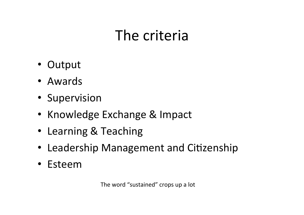# The criteria

- Output
- Awards
- Supervision
- Knowledge Exchange & Impact
- Learning & Teaching
- Leadership Management and Citizenship
- Esteem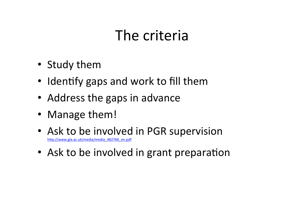# The criteria

- Study them
- Identify gaps and work to fill them
- Address the gaps in advance
- Manage them!
- Ask to be involved in PGR supervision http://www.gla.ac.uk/media/media\_482766\_en.pdf
- Ask to be involved in grant preparation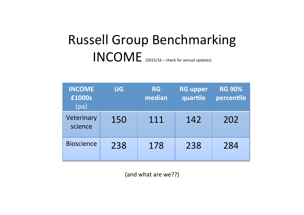### Russell Group Benchmarking INCOME (2015/16 – check for annual updates)

| <b>INCOME</b><br>£1000s<br>(pa) | UG  | <b>RG</b><br>median | <b>RG upper</b><br>quartile | <b>RG 90%</b><br>percentile |
|---------------------------------|-----|---------------------|-----------------------------|-----------------------------|
| Veterinary<br>science           | 150 | 111                 | 142                         | 202                         |
| <b>Bioscience</b>               | 238 | 178                 | 238                         | 284                         |

(and what are we??)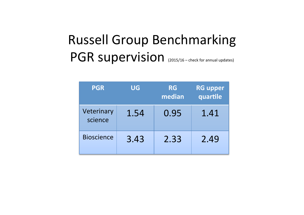### Russell Group Benchmarking PGR supervision (2015/16 – check for annual updates)

| <b>PGR</b>            | UG   | <b>RG</b><br>median | <b>RG upper</b><br>quartile |
|-----------------------|------|---------------------|-----------------------------|
| Veterinary<br>science | 1.54 | 0.95                | 1.41                        |
| <b>Bioscience</b>     | 3.43 | 2.33                | 2.49                        |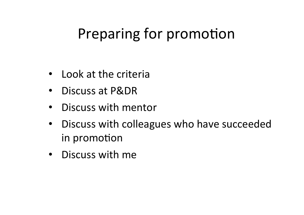## Preparing for promotion

- Look at the criteria
- Discuss at P&DR
- Discuss with mentor
- Discuss with colleagues who have succeeded in promotion
- Discuss with me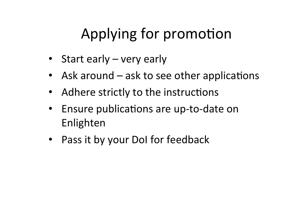# Applying for promotion

- Start early  $-$  very early
- Ask around  $-$  ask to see other applications
- Adhere strictly to the instructions
- Ensure publications are up-to-date on Enlighten
- Pass it by your Dol for feedback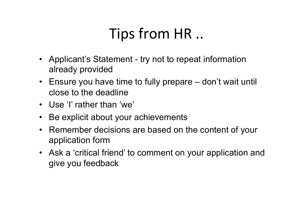#### $ins from HR$ Tips from HR ..

- Applicant's Statement try not to repeat information already provided
- Ensure you have time to fully prepare don't wait until close to the deadline
- Use 'I' rather than 'we'
- Be explicit about your achievements
- Remember decisions are based on the content of your application form
- Ask a 'critical friend' to comment on your application and give you feedback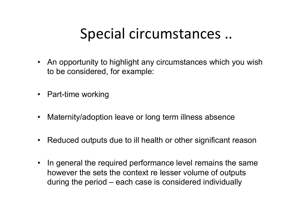### Special circumstances ..

- An opportunity to highlight any circumstances which you wish to be considered, for example:
- Part-time working
- Maternity/adoption leave or long term illness absence
- Reduced outputs due to ill health or other significant reason
- In general the required performance level remains the same however the sets the context re lesser volume of outputs during the period – each case is considered individually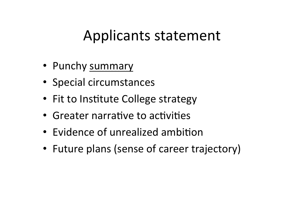### Applicants statement

- Punchy summary
- Special circumstances
- Fit to Institute College strategy
- Greater narrative to activities
- Evidence of unrealized ambition
- Future plans (sense of career trajectory)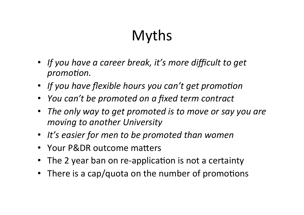# Myths

- If you have a career break, it's more difficult to get *promotion.*
- If you have flexible hours you can't get promotion
- *You can't be promoted on a fixed term contract*
- The only way to get promoted is to move or say you are *moving to another University*
- It's easier for men to be promoted than women
- Your P&DR outcome matters
- The 2 year ban on re-application is not a certainty
- There is a cap/quota on the number of promotions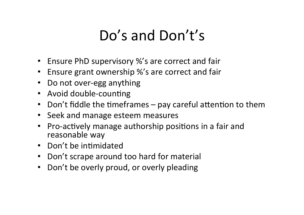# Do's and Don't's

- Ensure PhD supervisory %'s are correct and fair
- Ensure grant ownership %'s are correct and fair
- Do not over-egg anything
- Avoid double-counting
- Don't fiddle the timeframes  $-$  pay careful attention to them
- Seek and manage esteem measures
- Pro-actively manage authorship positions in a fair and reasonable way
- Don't be intimidated
- Don't scrape around too hard for material
- Don't be overly proud, or overly pleading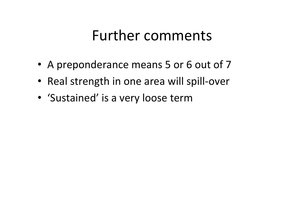### Further comments

- A preponderance means 5 or 6 out of 7
- Real strength in one area will spill-over
- 'Sustained' is a very loose term